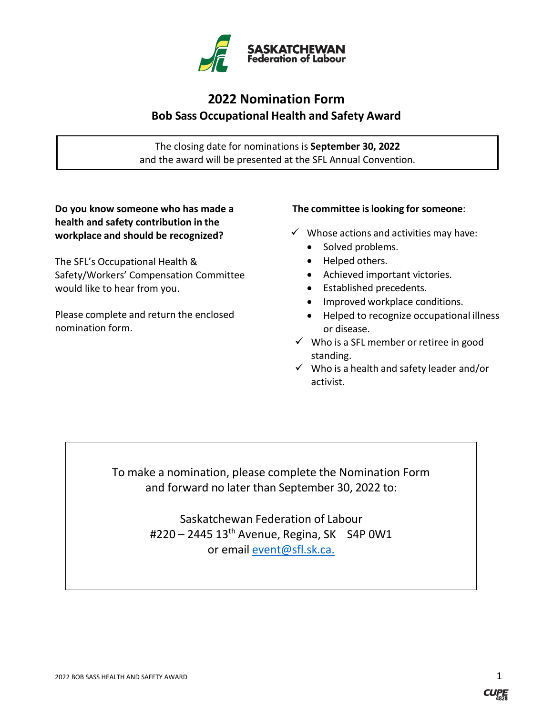

## **2022 Nomination Form Bob Sass Occupational Health and Safety Award**

The closing date for nominations is **September 30, 2022** and the award will be presented at the SFL Annual Convention.

**Do you know someone who has made a health and safety contribution in the workplace and should be recognized?**

The SFL's Occupational Health & Safety/Workers' Compensation Committee would like to hear from you.

Please complete and return the enclosed nomination form.

#### **The committee islooking for someone**:

- $\checkmark$  Whose actions and activities may have:
	- Solved problems.
	- Helped others.
	- Achieved important victories.
	- Established precedents.
	- Improved workplace conditions.
	- Helped to recognize occupational illness or disease.
- $\checkmark$  Who is a SFL member or retiree in good standing.
- $\checkmark$  Who is a health and safety leader and/or activist.

To make a nomination, please complete the Nomination Form and forward no later than September 30, 2022 to:

> Saskatchewan Federation of Labour #220 – 2445 13th Avenue, Regina, SK S4P 0W1 or email [event@sfl.sk.ca.](mailto:event@sfl.sk.ca)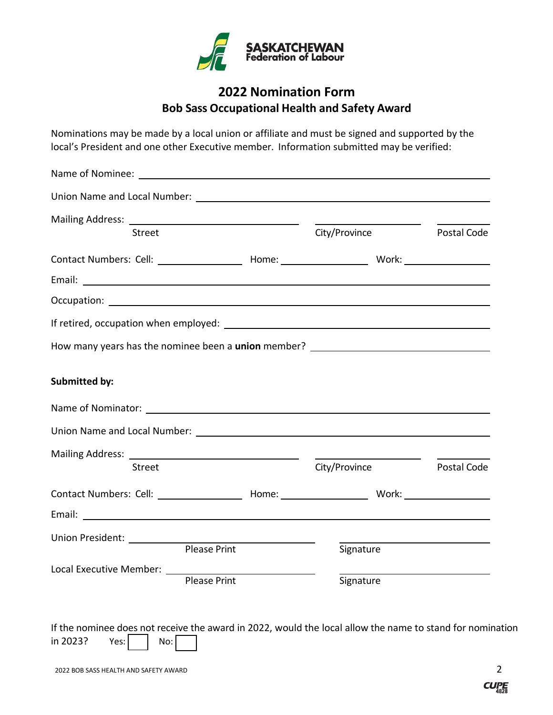

### **2022 Nomination Form Bob Sass Occupational Health and Safety Award**

Nominations may be made by a local union or affiliate and must be signed and supported by the local's President and one other Executive member. Information submitted may be verified:

| <b>Street</b>                                                                                                        |                     | City/Province | Postal Code |
|----------------------------------------------------------------------------------------------------------------------|---------------------|---------------|-------------|
| Contact Numbers: Cell: __________________________Home: __________________________ Work: _____________________        |                     |               |             |
|                                                                                                                      |                     |               |             |
|                                                                                                                      |                     |               |             |
|                                                                                                                      |                     |               |             |
| How many years has the nominee been a union member?                                                                  |                     |               |             |
| <b>Submitted by:</b>                                                                                                 |                     |               |             |
| Name of Nominator: Name of Nominator:                                                                                |                     |               |             |
|                                                                                                                      |                     |               |             |
|                                                                                                                      |                     |               |             |
| <b>Street</b>                                                                                                        |                     | City/Province | Postal Code |
|                                                                                                                      |                     |               |             |
| Email: <u>Alexander and Alexander and Alexander and Alexander and Alexander and Alexander and Alexander and Alex</u> |                     |               |             |
| Union President: Union                                                                                               |                     |               |             |
|                                                                                                                      | <b>Please Print</b> | Signature     |             |
|                                                                                                                      | <b>Please Print</b> | Signature     |             |
|                                                                                                                      |                     |               |             |

If the nominee does not receive the award in 2022, would the local allow the name to stand for nomination in 2023? Yes:  $\vert$   $\vert$  No: